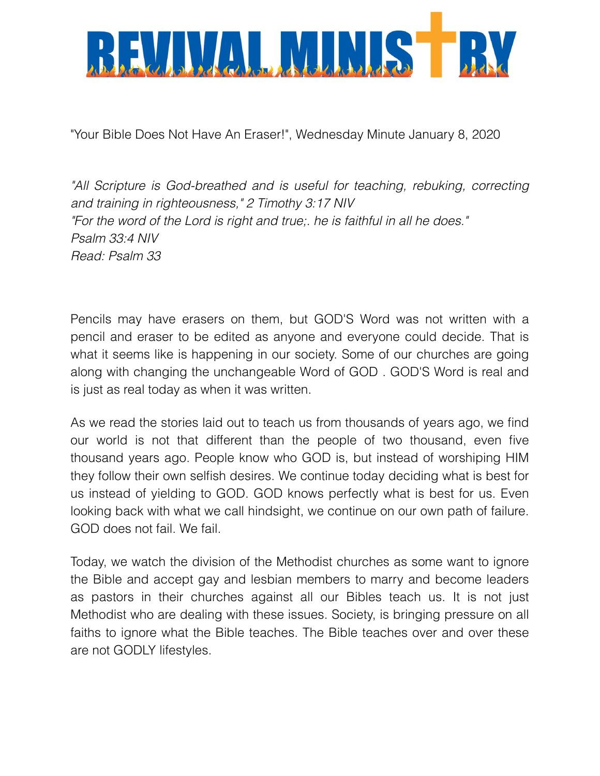

"Your Bible Does Not Have An Eraser!", Wednesday Minute January 8, 2020

*"All Scripture is God-breathed and is useful for teaching, rebuking, correcting and training in righteousness," 2 Timothy 3:17 NIV "For the word of the Lord is right and true;. he is faithful in all he does." Psalm 33:4 NIV Read: Psalm 33*

Pencils may have erasers on them, but GOD'S Word was not written with a pencil and eraser to be edited as anyone and everyone could decide. That is what it seems like is happening in our society. Some of our churches are going along with changing the unchangeable Word of GOD . GOD'S Word is real and is just as real today as when it was written.

As we read the stories laid out to teach us from thousands of years ago, we find our world is not that different than the people of two thousand, even five thousand years ago. People know who GOD is, but instead of worshiping HIM they follow their own selfish desires. We continue today deciding what is best for us instead of yielding to GOD. GOD knows perfectly what is best for us. Even looking back with what we call hindsight, we continue on our own path of failure. GOD does not fail. We fail.

Today, we watch the division of the Methodist churches as some want to ignore the Bible and accept gay and lesbian members to marry and become leaders as pastors in their churches against all our Bibles teach us. It is not just Methodist who are dealing with these issues. Society, is bringing pressure on all faiths to ignore what the Bible teaches. The Bible teaches over and over these are not GODLY lifestyles.